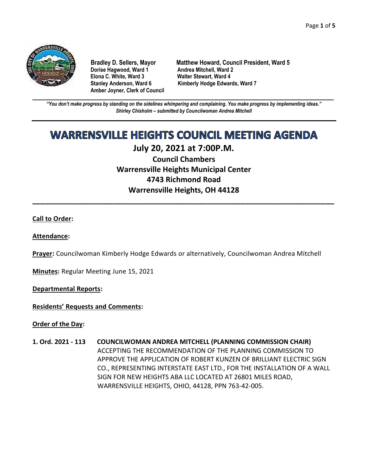

**Dorise Hagwood, Ward 1 Elona C. White, Ward 3 Walter Stewart, Ward 4 Amber Joyner, Clerk of Council**

**Bradley D. Sellers, Mayor Matthew Howard, Council President, Ward 5** Stanley Anderson, Ward 6 Kimberly Hodge Edwards, Ward 7

**\_\_\_\_\_\_\_\_\_\_\_\_\_\_\_\_\_\_\_\_\_\_\_\_\_\_\_\_\_\_\_\_\_\_\_\_\_\_\_\_\_\_\_\_\_\_\_\_\_\_\_\_\_\_\_\_\_\_\_\_\_\_\_\_\_\_\_\_\_\_\_\_\_\_\_\_\_\_\_\_\_\_\_\_\_\_\_\_\_\_\_\_\_\_\_\_\_\_\_\_\_\_\_\_\_\_\_\_\_\_** *"You don't make progress by standing on the sidelines whimpering and complaining. You make progress by implementing ideas." Shirley Chisholm – submitted by Councilwoman Andrea Mitchell*

# **WARRENSVILLE HEIGHTS COUNCIL MEETING AGENDA**

# **July 20, 2021 at 7:00P.M.**

**Council Chambers Warrensville Heights Municipal Center 4743 Richmond Road Warrensville Heights, OH 44128**

**\_\_\_\_\_\_\_\_\_\_\_\_\_\_\_\_\_\_\_\_\_\_\_\_\_\_\_\_\_\_\_\_\_\_\_\_\_\_\_\_\_\_\_\_\_\_\_\_\_\_\_\_\_\_\_\_\_\_\_\_\_\_\_\_\_\_\_\_\_\_\_**

# **Call to Order:**

## **Attendance:**

**Prayer:** Councilwoman Kimberly Hodge Edwards or alternatively, Councilwoman Andrea Mitchell

**Minutes:** Regular Meeting June 15, 2021

**Departmental Reports:**

**Residents' Requests and Comments:**

**Order of the Day:**

**1. Ord. 2021 - 113 COUNCILWOMAN ANDREA MITCHELL (PLANNING COMMISSION CHAIR)** ACCEPTING THE RECOMMENDATION OF THE PLANNING COMMISSION TO APPROVE THE APPLICATION OF ROBERT KUNZEN OF BRILLIANT ELECTRIC SIGN CO., REPRESENTING INTERSTATE EAST LTD., FOR THE INSTALLATION OF A WALL SIGN FOR NEW HEIGHTS ABA LLC LOCATED AT 26801 MILES ROAD, WARRENSVILLE HEIGHTS, OHIO, 44128, PPN 763-42-005.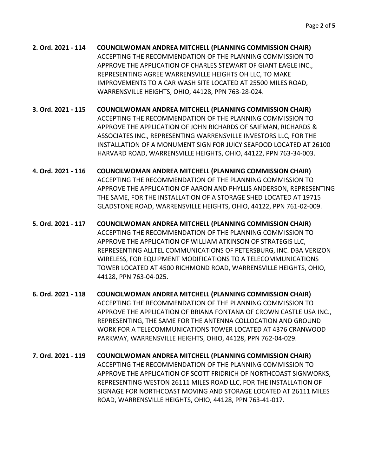- **2. Ord. 2021 - 114 COUNCILWOMAN ANDREA MITCHELL (PLANNING COMMISSION CHAIR)** ACCEPTING THE RECOMMENDATION OF THE PLANNING COMMISSION TO APPROVE THE APPLICATION OF CHARLES STEWART OF GIANT EAGLE INC., REPRESENTING AGREE WARRENSVILLE HEIGHTS OH LLC, TO MAKE IMPROVEMENTS TO A CAR WASH SITE LOCATED AT 25500 MILES ROAD, WARRENSVILLE HEIGHTS, OHIO, 44128, PPN 763-28-024.
- **3. Ord. 2021 - 115 COUNCILWOMAN ANDREA MITCHELL (PLANNING COMMISSION CHAIR)** ACCEPTING THE RECOMMENDATION OF THE PLANNING COMMISSION TO APPROVE THE APPLICATION OF JOHN RICHARDS OF SAIFMAN, RICHARDS & ASSOCIATES INC., REPRESENTING WARRENSVILLE INVESTORS LLC, FOR THE INSTALLATION OF A MONUMENT SIGN FOR JUICY SEAFOOD LOCATED AT 26100 HARVARD ROAD, WARRENSVILLE HEIGHTS, OHIO, 44122, PPN 763-34-003.
- **4. Ord. 2021 - 116 COUNCILWOMAN ANDREA MITCHELL (PLANNING COMMISSION CHAIR)**  ACCEPTING THE RECOMMENDATION OF THE PLANNING COMMISSION TO APPROVE THE APPLICATION OF AARON AND PHYLLIS ANDERSON, REPRESENTING THE SAME, FOR THE INSTALLATION OF A STORAGE SHED LOCATED AT 19715 GLADSTONE ROAD, WARRENSVILLE HEIGHTS, OHIO, 44122, PPN 761-02-009.
- **5. Ord. 2021 - 117 COUNCILWOMAN ANDREA MITCHELL (PLANNING COMMISSION CHAIR)** ACCEPTING THE RECOMMENDATION OF THE PLANNING COMMISSION TO APPROVE THE APPLICATION OF WILLIAM ATKINSON OF STRATEGIS LLC, REPRESENTING ALLTEL COMMUNICATIONS OF PETERSBURG, INC. DBA VERIZON WIRELESS, FOR EQUIPMENT MODIFICATIONS TO A TELECOMMUNICATIONS TOWER LOCATED AT 4500 RICHMOND ROAD, WARRENSVILLE HEIGHTS, OHIO, 44128, PPN 763-04-025.
- **6. Ord. 2021 - 118 COUNCILWOMAN ANDREA MITCHELL (PLANNING COMMISSION CHAIR)** ACCEPTING THE RECOMMENDATION OF THE PLANNING COMMISSION TO APPROVE THE APPLICATION OF BRIANA FONTANA OF CROWN CASTLE USA INC., REPRESENTING, THE SAME FOR THE ANTENNA COLLOCATION AND GROUND WORK FOR A TELECOMMUNICATIONS TOWER LOCATED AT 4376 CRANWOOD PARKWAY, WARRENSVILLE HEIGHTS, OHIO, 44128, PPN 762-04-029.
- **7. Ord. 2021 - 119 COUNCILWOMAN ANDREA MITCHELL (PLANNING COMMISSION CHAIR)** ACCEPTING THE RECOMMENDATION OF THE PLANNING COMMISSION TO APPROVE THE APPLICATION OF SCOTT FRIDRICH OF NORTHCOAST SIGNWORKS, REPRESENTING WESTON 26111 MILES ROAD LLC, FOR THE INSTALLATION OF SIGNAGE FOR NORTHCOAST MOVING AND STORAGE LOCATED AT 26111 MILES ROAD, WARRENSVILLE HEIGHTS, OHIO, 44128, PPN 763-41-017.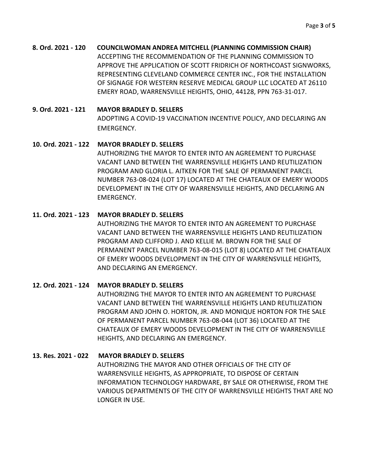**8. Ord. 2021 - 120 COUNCILWOMAN ANDREA MITCHELL (PLANNING COMMISSION CHAIR)** ACCEPTING THE RECOMMENDATION OF THE PLANNING COMMISSION TO APPROVE THE APPLICATION OF SCOTT FRIDRICH OF NORTHCOAST SIGNWORKS, REPRESENTING CLEVELAND COMMERCE CENTER INC., FOR THE INSTALLATION OF SIGNAGE FOR WESTERN RESERVE MEDICAL GROUP LLC LOCATED AT 26110 EMERY ROAD, WARRENSVILLE HEIGHTS, OHIO, 44128, PPN 763-31-017.

## **9. Ord. 2021 - 121 MAYOR BRADLEY D. SELLERS**

ADOPTING A COVID-19 VACCINATION INCENTIVE POLICY, AND DECLARING AN EMERGENCY.

# **10. Ord. 2021 - 122 MAYOR BRADLEY D. SELLERS**

AUTHORIZING THE MAYOR TO ENTER INTO AN AGREEMENT TO PURCHASE VACANT LAND BETWEEN THE WARRENSVILLE HEIGHTS LAND REUTILIZATION PROGRAM AND GLORIA L. AITKEN FOR THE SALE OF PERMANENT PARCEL NUMBER 763-08-024 (LOT 17) LOCATED AT THE CHATEAUX OF EMERY WOODS DEVELOPMENT IN THE CITY OF WARRENSVILLE HEIGHTS, AND DECLARING AN EMERGENCY.

# **11. Ord. 2021 - 123 MAYOR BRADLEY D. SELLERS**

AUTHORIZING THE MAYOR TO ENTER INTO AN AGREEMENT TO PURCHASE VACANT LAND BETWEEN THE WARRENSVILLE HEIGHTS LAND REUTILIZATION PROGRAM AND CLIFFORD J. AND KELLIE M. BROWN FOR THE SALE OF PERMANENT PARCEL NUMBER 763-08-015 (LOT 8) LOCATED AT THE CHATEAUX OF EMERY WOODS DEVELOPMENT IN THE CITY OF WARRENSVILLE HEIGHTS, AND DECLARING AN EMERGENCY.

# **12. Ord. 2021 - 124 MAYOR BRADLEY D. SELLERS**

AUTHORIZING THE MAYOR TO ENTER INTO AN AGREEMENT TO PURCHASE VACANT LAND BETWEEN THE WARRENSVILLE HEIGHTS LAND REUTILIZATION PROGRAM AND JOHN O. HORTON, JR. AND MONIQUE HORTON FOR THE SALE OF PERMANENT PARCEL NUMBER 763-08-044 (LOT 36) LOCATED AT THE CHATEAUX OF EMERY WOODS DEVELOPMENT IN THE CITY OF WARRENSVILLE HEIGHTS, AND DECLARING AN EMERGENCY.

# **13. Res. 2021 - 022 MAYOR BRADLEY D. SELLERS**

AUTHORIZING THE MAYOR AND OTHER OFFICIALS OF THE CITY OF WARRENSVILLE HEIGHTS, AS APPROPRIATE, TO DISPOSE OF CERTAIN INFORMATION TECHNOLOGY HARDWARE, BY SALE OR OTHERWISE, FROM THE VARIOUS DEPARTMENTS OF THE CITY OF WARRENSVILLE HEIGHTS THAT ARE NO LONGER IN USE.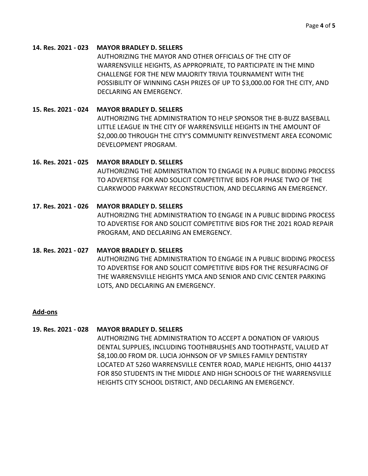#### **14. Res. 2021 - 023 MAYOR BRADLEY D. SELLERS**

AUTHORIZING THE MAYOR AND OTHER OFFICIALS OF THE CITY OF WARRENSVILLE HEIGHTS, AS APPROPRIATE, TO PARTICIPATE IN THE MIND CHALLENGE FOR THE NEW MAJORITY TRIVIA TOURNAMENT WITH THE POSSIBILITY OF WINNING CASH PRIZES OF UP TO \$3,000.00 FOR THE CITY, AND DECLARING AN EMERGENCY.

## **15. Res. 2021 - 024 MAYOR BRADLEY D. SELLERS**

AUTHORIZING THE ADMINISTRATION TO HELP SPONSOR THE B-BUZZ BASEBALL LITTLE LEAGUE IN THE CITY OF WARRENSVILLE HEIGHTS IN THE AMOUNT OF \$2,000.00 THROUGH THE CITY'S COMMUNITY REINVESTMENT AREA ECONOMIC DEVELOPMENT PROGRAM.

## **16. Res. 2021 - 025 MAYOR BRADLEY D. SELLERS**

AUTHORIZING THE ADMINISTRATION TO ENGAGE IN A PUBLIC BIDDING PROCESS TO ADVERTISE FOR AND SOLICIT COMPETITIVE BIDS FOR PHASE TWO OF THE CLARKWOOD PARKWAY RECONSTRUCTION, AND DECLARING AN EMERGENCY.

## **17. Res. 2021 - 026 MAYOR BRADLEY D. SELLERS**

AUTHORIZING THE ADMINISTRATION TO ENGAGE IN A PUBLIC BIDDING PROCESS TO ADVERTISE FOR AND SOLICIT COMPETITIVE BIDS FOR THE 2021 ROAD REPAIR PROGRAM, AND DECLARING AN EMERGENCY.

#### **18. Res. 2021 - 027 MAYOR BRADLEY D. SELLERS**

AUTHORIZING THE ADMINISTRATION TO ENGAGE IN A PUBLIC BIDDING PROCESS TO ADVERTISE FOR AND SOLICIT COMPETITIVE BIDS FOR THE RESURFACING OF THE WARRENSVILLE HEIGHTS YMCA AND SENIOR AND CIVIC CENTER PARKING LOTS, AND DECLARING AN EMERGENCY.

## **Add-ons**

#### **19. Res. 2021 - 028 MAYOR BRADLEY D. SELLERS**

AUTHORIZING THE ADMINISTRATION TO ACCEPT A DONATION OF VARIOUS DENTAL SUPPLIES, INCLUDING TOOTHBRUSHES AND TOOTHPASTE, VALUED AT \$8,100.00 FROM DR. LUCIA JOHNSON OF VP SMILES FAMILY DENTISTRY LOCATED AT 5260 WARRENSVILLE CENTER ROAD, MAPLE HEIGHTS, OHIO 44137 FOR 850 STUDENTS IN THE MIDDLE AND HIGH SCHOOLS OF THE WARRENSVILLE HEIGHTS CITY SCHOOL DISTRICT, AND DECLARING AN EMERGENCY.